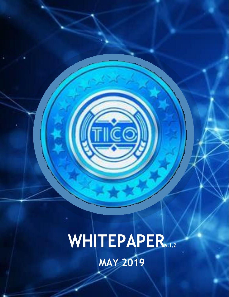**WHITEPAPERv.1.2 MAY 2019**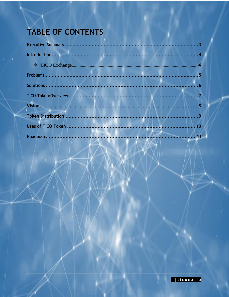# TABLE OF CONTENTS

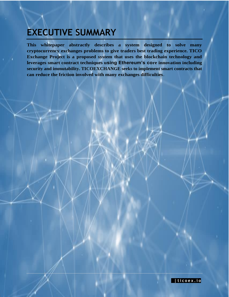# <span id="page-2-0"></span>**EXECUTIVE SUMMARY**

**This whitepaper abstractly describes a system designed to solve many cryptocurrency exchanges problems to give traders best trading experience. TICO Exchange Project is a proposed system that uses the blockchain technology and leverages smart contract techniques using Ethereum's core innovation including security and immutability. TICOEXCHANGE seeks to implement smart contracts that can reduce the friction involved with many exchanges difficulties**.

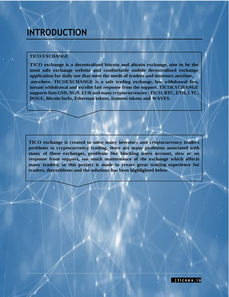# <span id="page-3-0"></span>**INTRODUCTION**

#### **TICO EXCHANGE**

**TICO exchange is a decentralized bitcoin and altcoin exchange, aim to be the most safe exchange website and comfortable mobile decentralized exchange application for daily use that meet the needs of traders and investors anytime,** . **anywhere. TICOEXCHANGE is a safe trading exchange, low withdrawal fees, instant withdrawal and excellet fast response from the support. TICOEXCHANGE supportsfiats USD, NGN, EUR and many cryptocurrencies: TICO, BTC, ETH, LTC, DOGE, Bitcoin forks, Ethereum tokens, Iconomi tokens and WAVES.**

**TICO exchange is created to solve many investors and cryptocurrency traders problems in cryptocurrency trading, there are many problems associated with many of these exchanges, problems like blocking users account, slow or no response from support, too much maintenance of the exchange which affects many traders, so this project is made to create great trading experience for traders, theproblems and the solutions has been highlighted below**

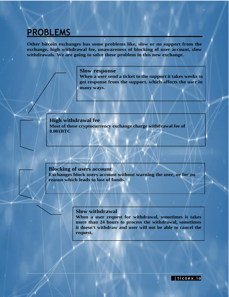# <span id="page-4-0"></span>**PROBLEMS**

**Other bitcoin exchanges has some problems like, slow or no support from the exchange, high withdrawal fee, unawareness of blocking of user account, slow withdrawals. We are going to solve these problem in this new exchange**.

#### **Slow response**

**When a user send a ticket to the support it takes weeks to get response from the support, which affects the user in many ways.**

**High withdrawal fee Most of these cryptocurrency exchange charge withdrawal fee of 0.001BTC**

#### **Blocking of users account**

**Exchanges block users account without warning the user, or for no reason which leads to lost of funds.**

#### **Slow withdrawal**

**When a user request for withdrawal, sometimes it takes more than 24 hours to process the withdrawal, sometimes it doesn't withdraw and user will not be able to cancel the request.**

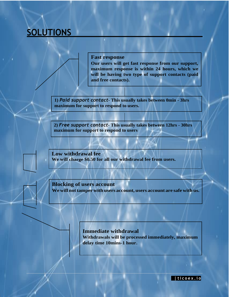# <span id="page-5-0"></span>**SOLUTIONS**

#### **Fast response**

**Our users will get fast response from our support, maximum response is within 24 hours, which we will be having two type of support contacts (paid and free contacts).**

**1)** *Paid support contact***- This usually takes between 0min - 3hrs maximum for support to respond to users.**

**2)** *Free support contact***- This usually takes between 12hrs - 30hrs maximum for support to respond to users**

**Low withdrawal fee We will charge \$0.50 for all our withdrawal fee from users.**

**Blocking of users account Wewill nottamper with users account, users account are safe with us.**

#### **Immediate withdrawal Withdrawals will be processed immediately, maximum delay time 10mins-1 hour.**

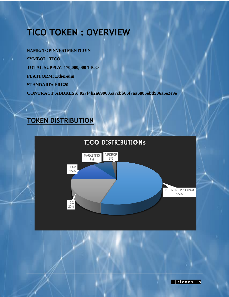# <span id="page-6-0"></span>**TICO TOKEN : OVERVIEW**

**NAME: TOPINVESTMENTCOIN SYMBOL: TICO TOTAL SUPPLY: 170,000,000 TICO PLATFORM: Ethereum STANDARD: ERC20 CONTRACT ADDRESS: 0x7f4b2a690605a7cbb66f7aa6885ebd906a5e2e9e**

### <span id="page-6-1"></span>**TOKEN DISTRIBUTION**



### **TICO DISTRIBUTIONs**

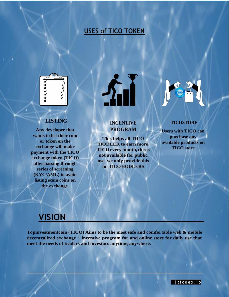### **USES of TICO TOKEN**

<span id="page-7-0"></span>

### **LISTING**

**Any developer that wants to list their coin or token on the exchange will make payment with the TICO exchange token (TICO) after passing through series of screening (KYC/AML) to avoid listing scam coins on the exchange.**

### **INCENTIVE PROGRAM**

**This helps all TICO HODLER to earn more TICOevery month,thisis not available for public use, we only provide this forTICOHODLERS**



#### **TICOSTORE**

**Users with TICO can purchase any available products on TICO store**

## **VISION**

**Topinvestmentcoin (TICO) Aims to be the most safe and comfortable web & mobile decentralized exchange + incentive program for and online store for daily use that meet the needs of traders and investors anytime, anywhere.**